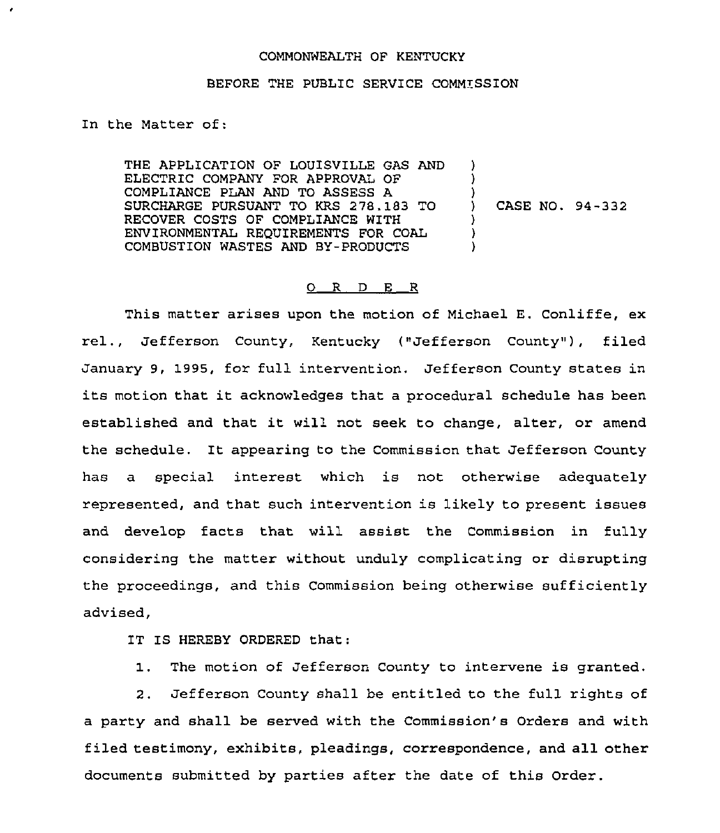## COMMONWEALTH OF KENTUCKY

## BEFORE THE PUBLIC SERVICE COMMISSION

## In the Matter of:

٠

THE APPLICATION OF LOUISVILLE GAS AND ELECTRIC COMPANY FOR APPROVAL OF COMPLIANCE PLAN AND TO ASSESS A SURCHARGE PURSUANT TO KRS 278.183 TO RECOVER COSTS OF COMPLIANCE WITH ENVIRONMENTAL REQUIREMENTS FOR COAL COMBUSTION WASTES AND BY-PRODUCTS  $\lambda$ )  $\sum$ ) CASE NO. 94-332 ) ) )

## $O$  R D E R

This matter arises upon the motion of Michael E. Conliffe, ex rel., Jefferson County, Kentucky ("Jefferson County"), filed January 9, 1995, for full intervention. Jefferson County states in its motion that it acknowledges that <sup>a</sup> procedural schedule has been established and that it will not seek to change, alter, or amend the schedule. It appearing to the Commission that Jefferson County has a special interest which is not otherwise adequately represented, and that such intervention is likely to present issues and develop facts that will assist the Commission in fully considering the matter without unduly complicating or disrupting the proceedings, and this Commission being otherwise sufficiently advised,

IT IS HEREBY ORDERED that:

1. The motion of Jefferson County to intervene is granted.

2. Jefferson County shall be entitled to the full rights of a party and shall be served with the Commission's Orders and with filed testimony, exhibits, pleadings, correspondence, and all other documents submitted by parties after the date of this Order.